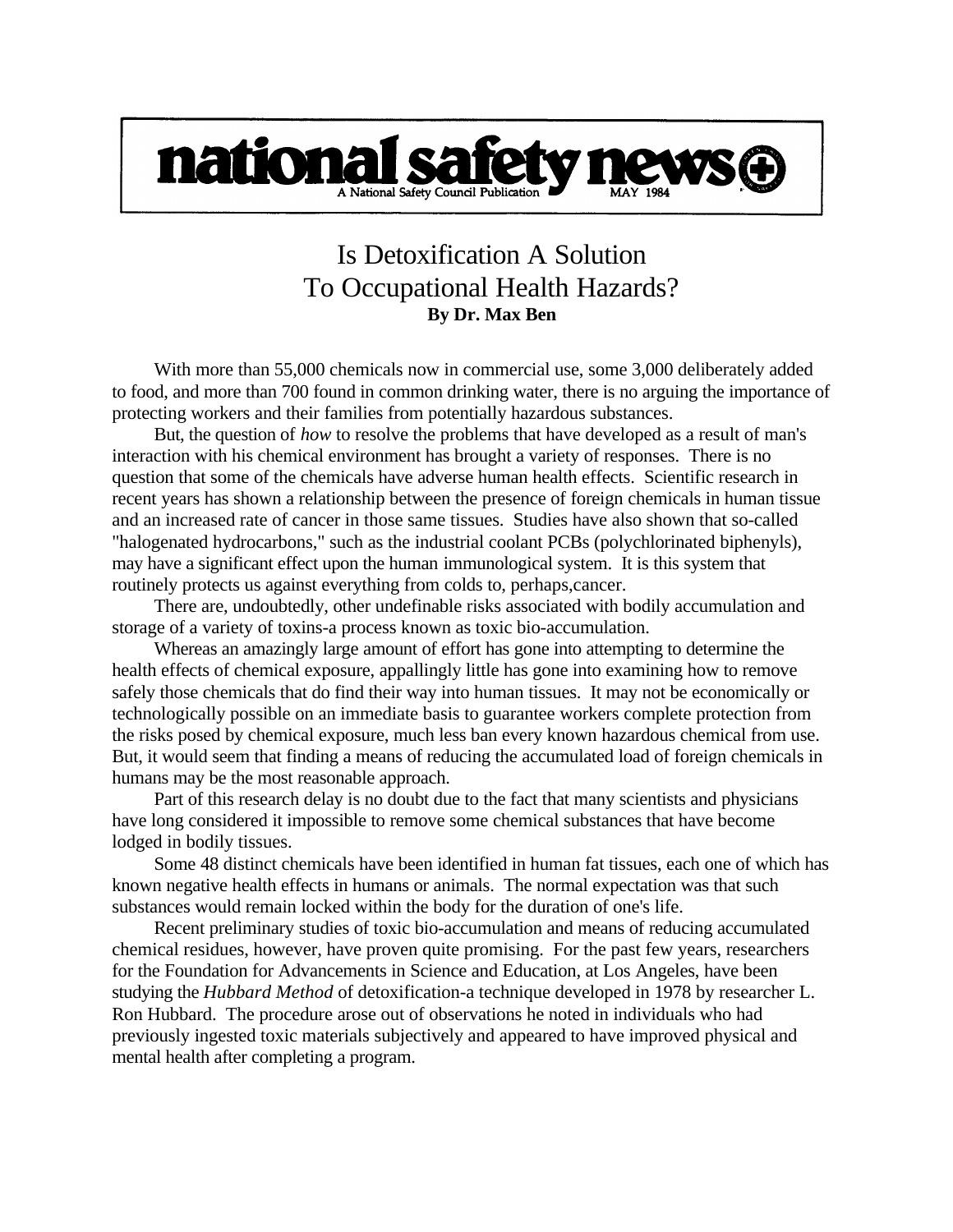

## Is Detoxification A Solution To Occupational Health Hazards? **By Dr. Max Ben**

With more than 55,000 chemicals now in commercial use, some 3,000 deliberately added to food, and more than 700 found in common drinking water, there is no arguing the importance of protecting workers and their families from potentially hazardous substances.

But, the question of *how* to resolve the problems that have developed as a result of man's interaction with his chemical environment has brought a variety of responses. There is no question that some of the chemicals have adverse human health effects. Scientific research in recent years has shown a relationship between the presence of foreign chemicals in human tissue and an increased rate of cancer in those same tissues. Studies have also shown that so-called "halogenated hydrocarbons," such as the industrial coolant PCBs (polychlorinated biphenyls), may have a significant effect upon the human immunological system. It is this system that routinely protects us against everything from colds to, perhaps,cancer.

There are, undoubtedly, other undefinable risks associated with bodily accumulation and storage of a variety of toxins-a process known as toxic bio-accumulation.

Whereas an amazingly large amount of effort has gone into attempting to determine the health effects of chemical exposure, appallingly little has gone into examining how to remove safely those chemicals that do find their way into human tissues. It may not be economically or technologically possible on an immediate basis to guarantee workers complete protection from the risks posed by chemical exposure, much less ban every known hazardous chemical from use. But, it would seem that finding a means of reducing the accumulated load of foreign chemicals in humans may be the most reasonable approach.

Part of this research delay is no doubt due to the fact that many scientists and physicians have long considered it impossible to remove some chemical substances that have become lodged in bodily tissues.

Some 48 distinct chemicals have been identified in human fat tissues, each one of which has known negative health effects in humans or animals. The normal expectation was that such substances would remain locked within the body for the duration of one's life.

Recent preliminary studies of toxic bio-accumulation and means of reducing accumulated chemical residues, however, have proven quite promising. For the past few years, researchers for the Foundation for Advancements in Science and Education, at Los Angeles, have been studying the *Hubbard Method* of detoxification-a technique developed in 1978 by researcher L. Ron Hubbard. The procedure arose out of observations he noted in individuals who had previously ingested toxic materials subjectively and appeared to have improved physical and mental health after completing a program.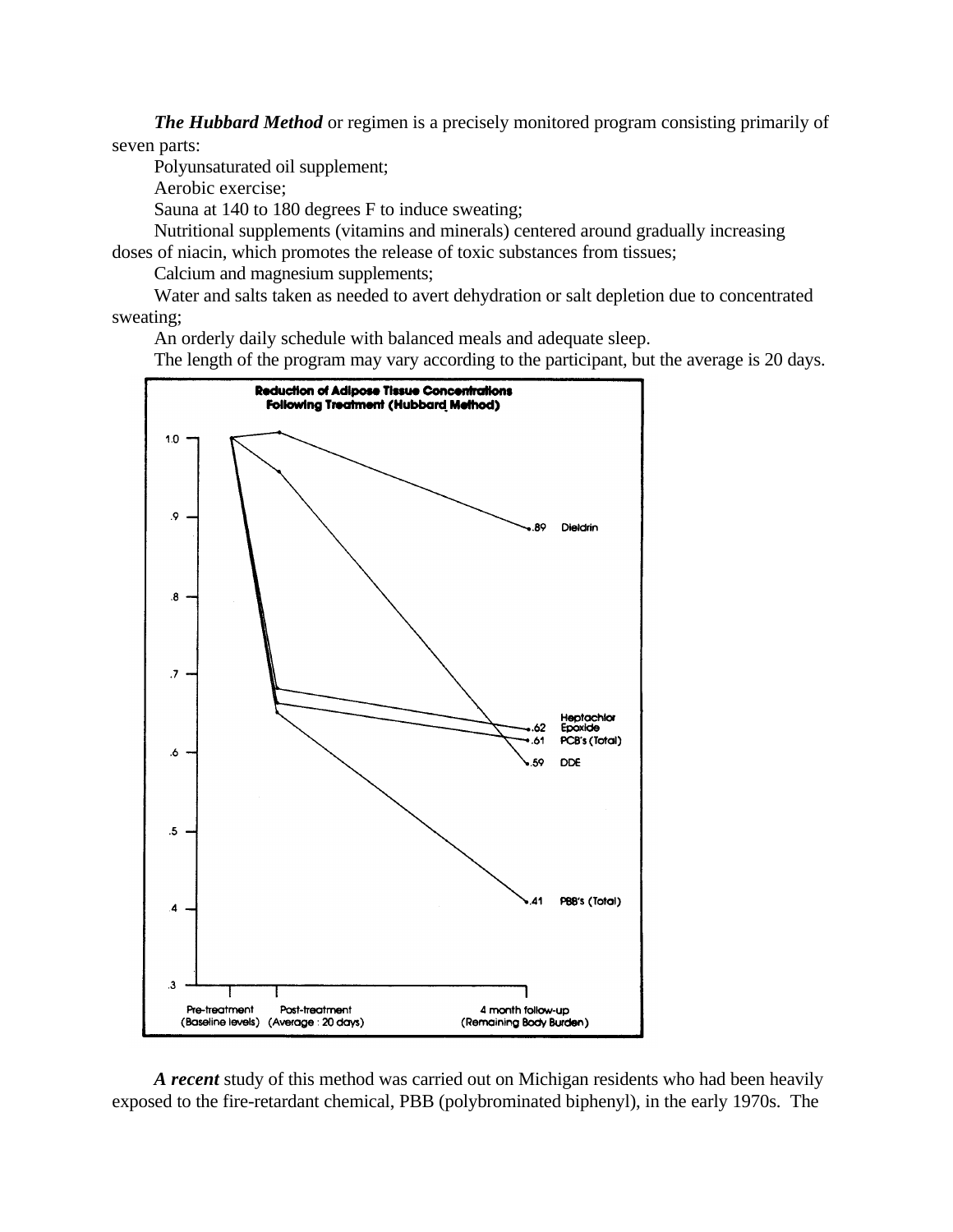*The Hubbard Method* or regimen is a precisely monitored program consisting primarily of seven parts:

Polyunsaturated oil supplement;

Aerobic exercise;

Sauna at 140 to 180 degrees F to induce sweating;

Nutritional supplements (vitamins and minerals) centered around gradually increasing doses of niacin, which promotes the release of toxic substances from tissues;

Calcium and magnesium supplements;

Water and salts taken as needed to avert dehydration or salt depletion due to concentrated sweating;

An orderly daily schedule with balanced meals and adequate sleep.

The length of the program may vary according to the participant, but the average is 20 days.



*A recent* study of this method was carried out on Michigan residents who had been heavily exposed to the fire-retardant chemical, PBB (polybrominated biphenyl), in the early 1970s. The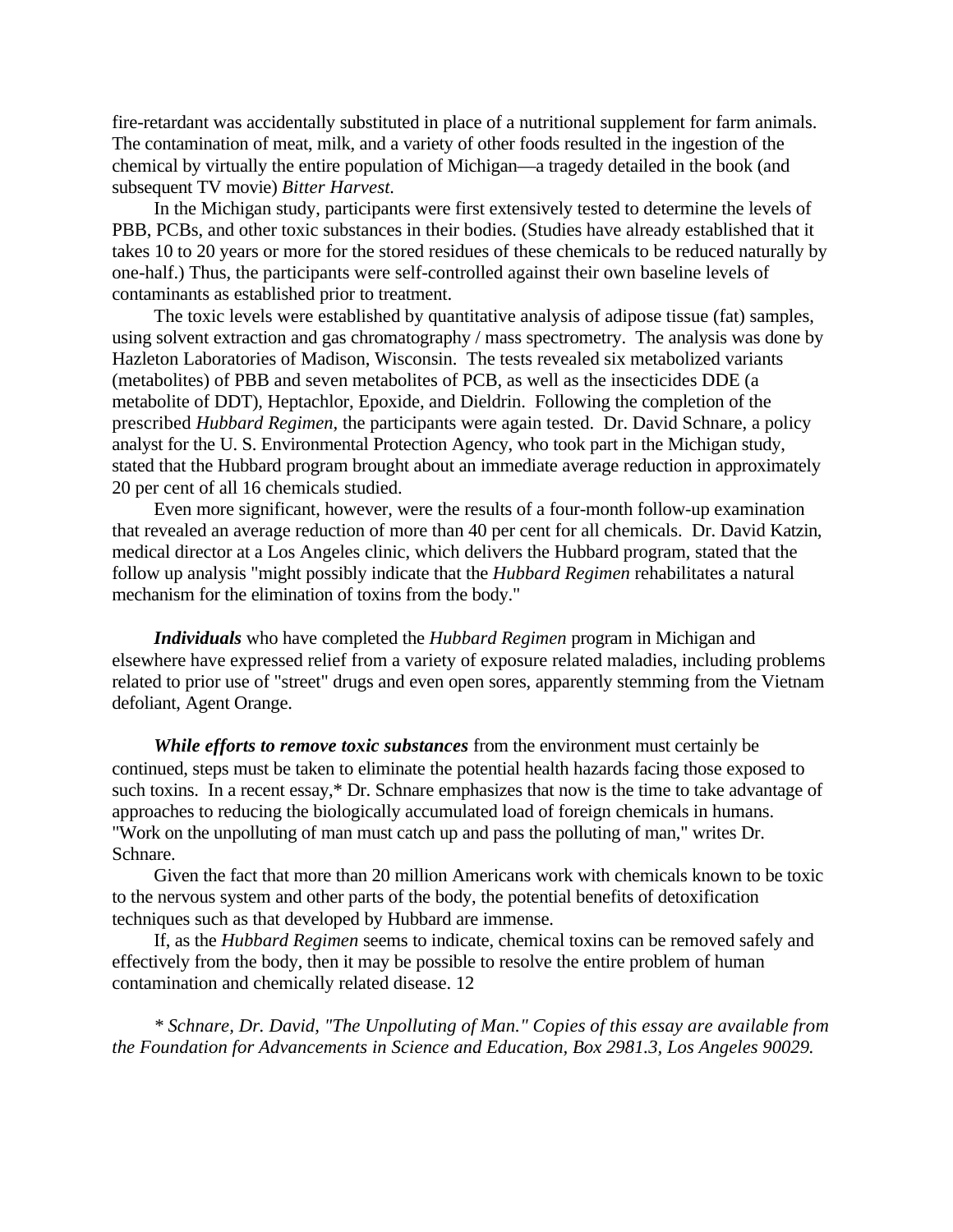fire-retardant was accidentally substituted in place of a nutritional supplement for farm animals. The contamination of meat, milk, and a variety of other foods resulted in the ingestion of the chemical by virtually the entire population of Michigan—a tragedy detailed in the book (and subsequent TV movie) *Bitter Harvest.*

In the Michigan study, participants were first extensively tested to determine the levels of PBB, PCBs, and other toxic substances in their bodies. (Studies have already established that it takes 10 to 20 years or more for the stored residues of these chemicals to be reduced naturally by one-half.) Thus, the participants were self-controlled against their own baseline levels of contaminants as established prior to treatment.

The toxic levels were established by quantitative analysis of adipose tissue (fat) samples, using solvent extraction and gas chromatography / mass spectrometry. The analysis was done by Hazleton Laboratories of Madison, Wisconsin. The tests revealed six metabolized variants (metabolites) of PBB and seven metabolites of PCB, as well as the insecticides DDE (a metabolite of DDT), Heptachlor, Epoxide, and Dieldrin. Following the completion of the prescribed *Hubbard Regimen,* the participants were again tested. Dr. David Schnare, a policy analyst for the U. S. Environmental Protection Agency, who took part in the Michigan study, stated that the Hubbard program brought about an immediate average reduction in approximately 20 per cent of all 16 chemicals studied.

Even more significant, however, were the results of a four-month follow-up examination that revealed an average reduction of more than 40 per cent for all chemicals. Dr. David Katzin, medical director at a Los Angeles clinic, which delivers the Hubbard program, stated that the follow up analysis "might possibly indicate that the *Hubbard Regimen* rehabilitates a natural mechanism for the elimination of toxins from the body."

*Individuals* who have completed the *Hubbard Regimen* program in Michigan and elsewhere have expressed relief from a variety of exposure related maladies, including problems related to prior use of "street" drugs and even open sores, apparently stemming from the Vietnam defoliant, Agent Orange.

*While efforts to remove toxic substances* from the environment must certainly be continued, steps must be taken to eliminate the potential health hazards facing those exposed to such toxins. In a recent essay,\* Dr. Schnare emphasizes that now is the time to take advantage of approaches to reducing the biologically accumulated load of foreign chemicals in humans. "Work on the unpolluting of man must catch up and pass the polluting of man," writes Dr. Schnare.

Given the fact that more than 20 million Americans work with chemicals known to be toxic to the nervous system and other parts of the body, the potential benefits of detoxification techniques such as that developed by Hubbard are immense.

If, as the *Hubbard Regimen* seems to indicate, chemical toxins can be removed safely and effectively from the body, then it may be possible to resolve the entire problem of human contamination and chemically related disease. 12

*\* Schnare, Dr. David, "The Unpolluting of Man." Copies of this essay are available from the Foundation for Advancements in Science and Education, Box 2981.3, Los Angeles 90029.*